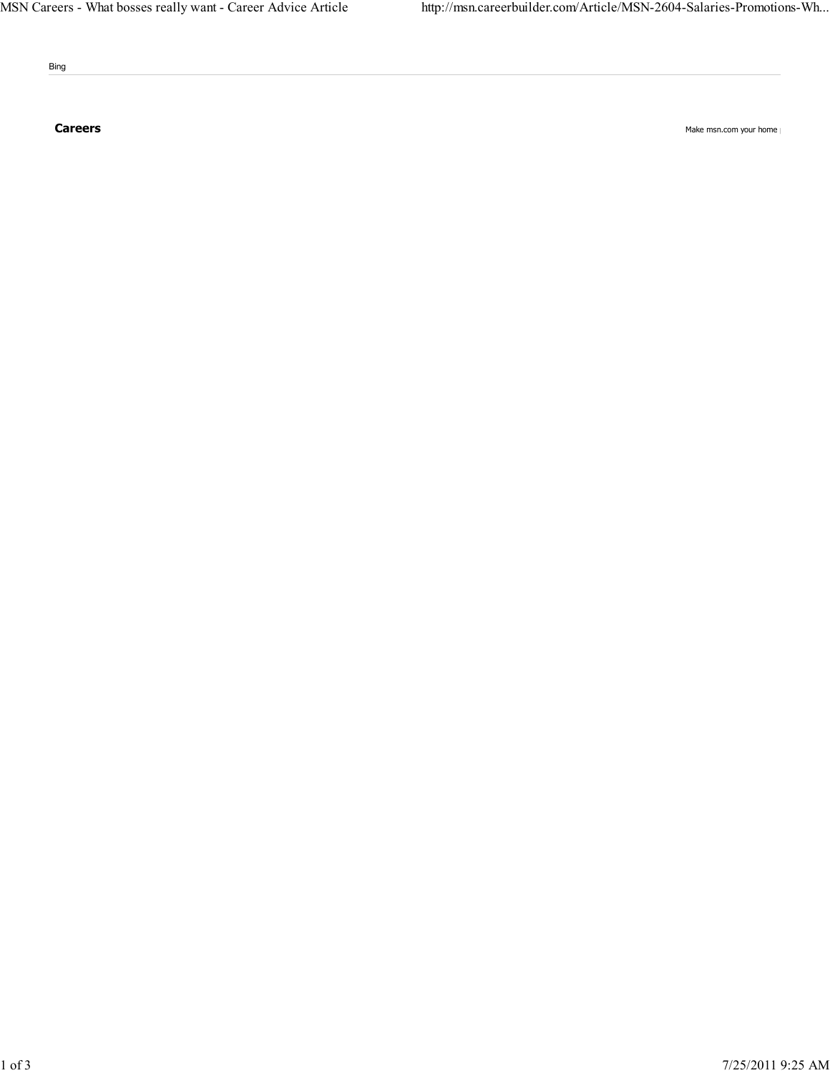Bing

Careers Make msn.com your home page of the control of the Make msn.com your home page of the Make msn.com your home page of the Make msn.com your home page of the control of the Make msn.com your home page of the control o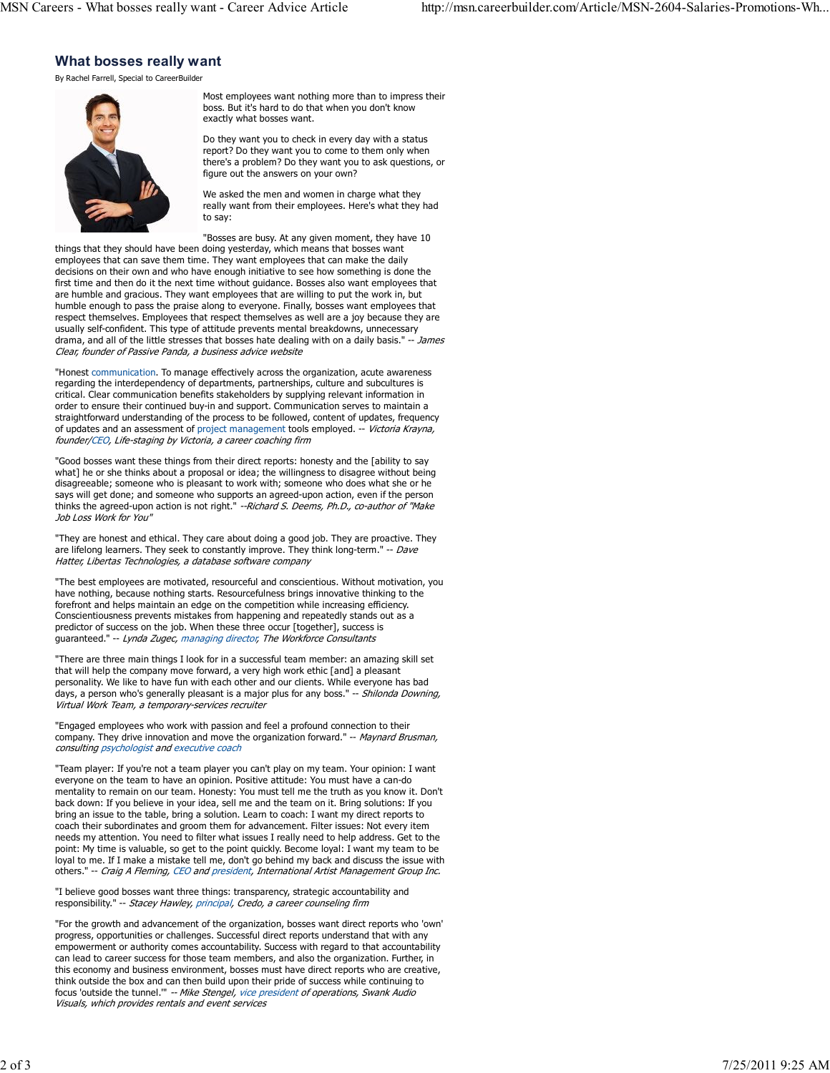## What bosses really want

By Rachel Farrell, Special to CareerBuilder



Most employees want nothing more than to impress their boss. But it's hard to do that when you don't know exactly what bosses want.

Do they want you to check in every day with a status report? Do they want you to come to them only when there's a problem? Do they want you to ask questions, or figure out the answers on your own?

We asked the men and women in charge what they really want from their employees. Here's what they had to say:

"Bosses are busy. At any given moment, they have 10 things that they should have been doing yesterday, which means that bosses want employees that can save them time. They want employees that can make the daily decisions on their own and who have enough initiative to see how something is done the first time and then do it the next time without guidance. Bosses also want employees that are humble and gracious. They want employees that are willing to put the work in, but humble enough to pass the praise along to everyone. Finally, bosses want employees that respect themselves. Employees that respect themselves as well are a joy because they are usually self-confident. This type of attitude prevents mental breakdowns, unnecessary drama, and all of the little stresses that bosses hate dealing with on a daily basis." -- James Clear, founder of Passive Panda, a business advice website

"Honest communication. To manage effectively across the organization, acute awareness regarding the interdependency of departments, partnerships, culture and subcultures is critical. Clear communication benefits stakeholders by supplying relevant information in order to ensure their continued buy-in and support. Communication serves to maintain a straightforward understanding of the process to be followed, content of updates, frequency of updates and an assessment of project management tools employed. -- Victoria Krayna, founder/CEO, Life-staging by Victoria, a career coaching firm

"Good bosses want these things from their direct reports: honesty and the [ability to say what] he or she thinks about a proposal or idea; the willingness to disagree without being disagreeable; someone who is pleasant to work with; someone who does what she or he says will get done; and someone who supports an agreed-upon action, even if the person thinks the agreed-upon action is not right." *--Richard S. Deems, Ph.D., co-author of "Make* Job Loss Work for You"

"They are honest and ethical. They care about doing a good job. They are proactive. They are lifelong learners. They seek to constantly improve. They think long-term." -- Dave Hatter, Libertas Technologies, a database software company

"The best employees are motivated, resourceful and conscientious. Without motivation, you have nothing, because nothing starts. Resourcefulness brings innovative thinking to the forefront and helps maintain an edge on the competition while increasing efficiency. Conscientiousness prevents mistakes from happening and repeatedly stands out as a predictor of success on the job. When these three occur [together], success is guaranteed." -- Lynda Zugec, managing director, The Workforce Consultants

"There are three main things I look for in a successful team member: an amazing skill set that will help the company move forward, a very high work ethic [and] a pleasant personality. We like to have fun with each other and our clients. While everyone has bad days, a person who's generally pleasant is a major plus for any boss." -- Shilonda Downing, Virtual Work Team, a temporary-services recruiter

"Engaged employees who work with passion and feel a profound connection to their company. They drive innovation and move the organization forward." -- Maynard Brusman, consulting psychologist and executive coach

"Team player: If you're not a team player you can't play on my team. Your opinion: I want everyone on the team to have an opinion. Positive attitude: You must have a can-do mentality to remain on our team. Honesty: You must tell me the truth as you know it. Don't back down: If you believe in your idea, sell me and the team on it. Bring solutions: If you bring an issue to the table, bring a solution. Learn to coach: I want my direct reports to coach their subordinates and groom them for advancement. Filter issues: Not every item needs my attention. You need to filter what issues I really need to help address. Get to the point: My time is valuable, so get to the point quickly. Become loyal: I want my team to be loyal to me. If I make a mistake tell me, don't go behind my back and discuss the issue with others." -- Craig A Fleming, CEO and president, International Artist Management Group Inc.

"I believe good bosses want three things: transparency, strategic accountability and responsibility." -- Stacey Hawley, principal, Credo, a career counseling firm

"For the growth and advancement of the organization, bosses want direct reports who 'own' progress, opportunities or challenges. Successful direct reports understand that with any empowerment or authority comes accountability. Success with regard to that accountability can lead to career success for those team members, and also the organization. Further, in this economy and business environment, bosses must have direct reports who are creative, think outside the box and can then build upon their pride of success while continuing to focus 'outside the tunnel.'" -- Mike Stengel, vice president of operations, Swank Audio Visuals, which provides rentals and event services